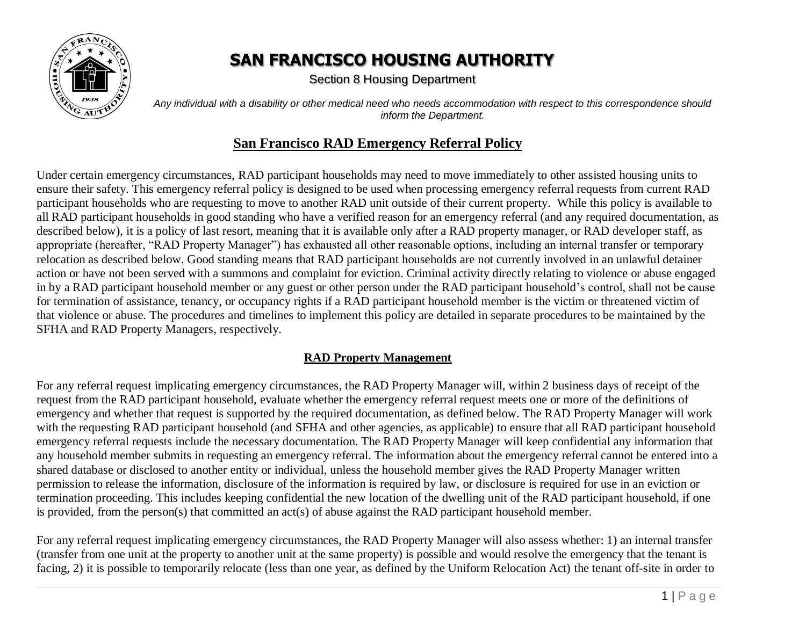

Section 8 Housing Department

*Any individual with a disability or other medical need who needs accommodation with respect to this correspondence should inform the Department.*

#### **San Francisco RAD Emergency Referral Policy**

Under certain emergency circumstances, RAD participant households may need to move immediately to other assisted housing units to ensure their safety. This emergency referral policy is designed to be used when processing emergency referral requests from current RAD participant households who are requesting to move to another RAD unit outside of their current property. While this policy is available to all RAD participant households in good standing who have a verified reason for an emergency referral (and any required documentation, as described below), it is a policy of last resort, meaning that it is available only after a RAD property manager, or RAD developer staff, as appropriate (hereafter, "RAD Property Manager") has exhausted all other reasonable options, including an internal transfer or temporary relocation as described below. Good standing means that RAD participant households are not currently involved in an unlawful detainer action or have not been served with a summons and complaint for eviction. Criminal activity directly relating to violence or abuse engaged in by a RAD participant household member or any guest or other person under the RAD participant household's control, shall not be cause for termination of assistance, tenancy, or occupancy rights if a RAD participant household member is the victim or threatened victim of that violence or abuse. The procedures and timelines to implement this policy are detailed in separate procedures to be maintained by the SFHA and RAD Property Managers, respectively.

#### **RAD Property Management**

For any referral request implicating emergency circumstances, the RAD Property Manager will, within 2 business days of receipt of the request from the RAD participant household, evaluate whether the emergency referral request meets one or more of the definitions of emergency and whether that request is supported by the required documentation, as defined below. The RAD Property Manager will work with the requesting RAD participant household (and SFHA and other agencies, as applicable) to ensure that all RAD participant household emergency referral requests include the necessary documentation. The RAD Property Manager will keep confidential any information that any household member submits in requesting an emergency referral. The information about the emergency referral cannot be entered into a shared database or disclosed to another entity or individual, unless the household member gives the RAD Property Manager written permission to release the information, disclosure of the information is required by law, or disclosure is required for use in an eviction or termination proceeding. This includes keeping confidential the new location of the dwelling unit of the RAD participant household, if one is provided, from the person(s) that committed an act(s) of abuse against the RAD participant household member.

For any referral request implicating emergency circumstances, the RAD Property Manager will also assess whether: 1) an internal transfer (transfer from one unit at the property to another unit at the same property) is possible and would resolve the emergency that the tenant is facing, 2) it is possible to temporarily relocate (less than one year, as defined by the Uniform Relocation Act) the tenant off-site in order to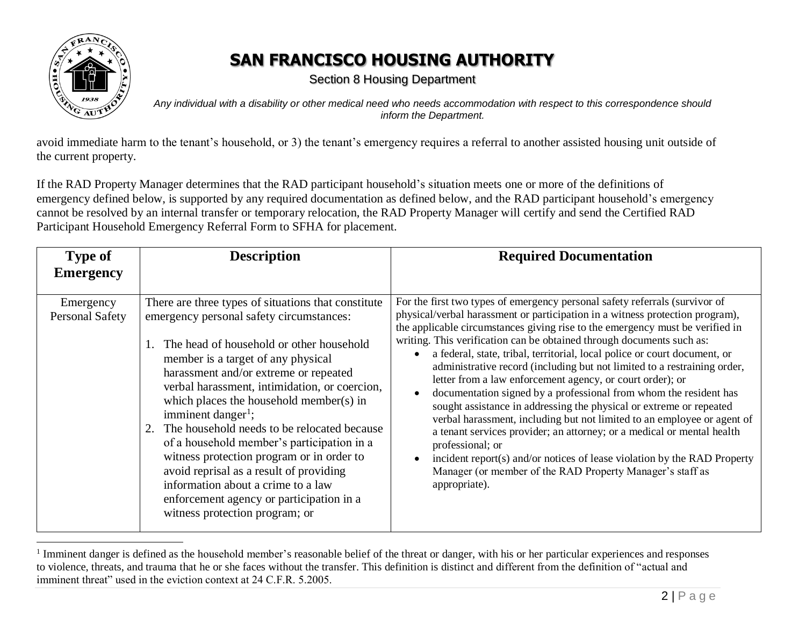

 $\overline{a}$ 

#### **SAN FRANCISCO HOUSING AUTHORITY**

Section 8 Housing Department

*Any individual with a disability or other medical need who needs accommodation with respect to this correspondence should inform the Department.*

avoid immediate harm to the tenant's household, or 3) the tenant's emergency requires a referral to another assisted housing unit outside of the current property.

If the RAD Property Manager determines that the RAD participant household's situation meets one or more of the definitions of emergency defined below, is supported by any required documentation as defined below, and the RAD participant household's emergency cannot be resolved by an internal transfer or temporary relocation, the RAD Property Manager will certify and send the Certified RAD Participant Household Emergency Referral Form to SFHA for placement.

| <b>Type of</b><br><b>Emergency</b>  | <b>Description</b>                                                                                                                                                                                                                                                                                                                                                                                                                                                                                                                                                                                                                                                      | <b>Required Documentation</b>                                                                                                                                                                                                                                                                                                                                                                                                                                                                                                                                                                                                                                                                                                                                                                                                                                                                                                                                                                                               |
|-------------------------------------|-------------------------------------------------------------------------------------------------------------------------------------------------------------------------------------------------------------------------------------------------------------------------------------------------------------------------------------------------------------------------------------------------------------------------------------------------------------------------------------------------------------------------------------------------------------------------------------------------------------------------------------------------------------------------|-----------------------------------------------------------------------------------------------------------------------------------------------------------------------------------------------------------------------------------------------------------------------------------------------------------------------------------------------------------------------------------------------------------------------------------------------------------------------------------------------------------------------------------------------------------------------------------------------------------------------------------------------------------------------------------------------------------------------------------------------------------------------------------------------------------------------------------------------------------------------------------------------------------------------------------------------------------------------------------------------------------------------------|
| Emergency<br><b>Personal Safety</b> | There are three types of situations that constitute<br>emergency personal safety circumstances:<br>1. The head of household or other household<br>member is a target of any physical<br>harassment and/or extreme or repeated<br>verbal harassment, intimidation, or coercion,<br>which places the household member(s) in<br>imminent danger <sup>1</sup> ;<br>2. The household needs to be relocated because<br>of a household member's participation in a<br>witness protection program or in order to<br>avoid reprisal as a result of providing<br>information about a crime to a law<br>enforcement agency or participation in a<br>witness protection program; or | For the first two types of emergency personal safety referrals (survivor of<br>physical/verbal harassment or participation in a witness protection program),<br>the applicable circumstances giving rise to the emergency must be verified in<br>writing. This verification can be obtained through documents such as:<br>a federal, state, tribal, territorial, local police or court document, or<br>administrative record (including but not limited to a restraining order,<br>letter from a law enforcement agency, or court order); or<br>documentation signed by a professional from whom the resident has<br>sought assistance in addressing the physical or extreme or repeated<br>verbal harassment, including but not limited to an employee or agent of<br>a tenant services provider; an attorney; or a medical or mental health<br>professional; or<br>incident report(s) and/or notices of lease violation by the RAD Property<br>Manager (or member of the RAD Property Manager's staff as<br>appropriate). |

<sup>&</sup>lt;sup>1</sup> Imminent danger is defined as the household member's reasonable belief of the threat or danger, with his or her particular experiences and responses to violence, threats, and trauma that he or she faces without the transfer. This definition is distinct and different from the definition of "actual and imminent threat" used in the eviction context at 24 C.F.R. 5.2005.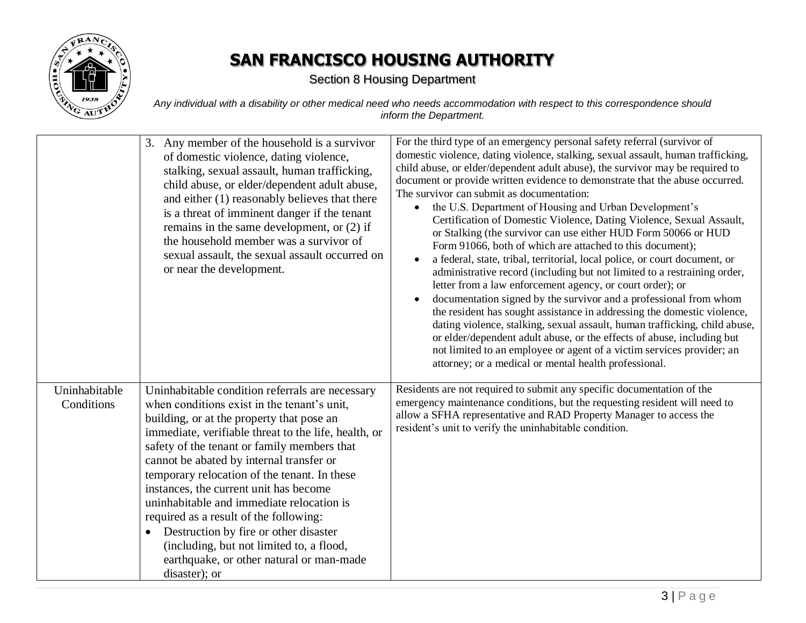

Section 8 Housing Department

*Any individual with a disability or other medical need who needs accommodation with respect to this correspondence should inform the Department.*

|                             | 3. Any member of the household is a survivor<br>of domestic violence, dating violence,<br>stalking, sexual assault, human trafficking,<br>child abuse, or elder/dependent adult abuse,<br>and either (1) reasonably believes that there<br>is a threat of imminent danger if the tenant<br>remains in the same development, or $(2)$ if<br>the household member was a survivor of<br>sexual assault, the sexual assault occurred on<br>or near the development.                                                                                                                                                                                | For the third type of an emergency personal safety referral (survivor of<br>domestic violence, dating violence, stalking, sexual assault, human trafficking,<br>child abuse, or elder/dependent adult abuse), the survivor may be required to<br>document or provide written evidence to demonstrate that the abuse occurred.<br>The survivor can submit as documentation:<br>the U.S. Department of Housing and Urban Development's<br>$\bullet$<br>Certification of Domestic Violence, Dating Violence, Sexual Assault,<br>or Stalking (the survivor can use either HUD Form 50066 or HUD<br>Form 91066, both of which are attached to this document);<br>a federal, state, tribal, territorial, local police, or court document, or<br>administrative record (including but not limited to a restraining order,<br>letter from a law enforcement agency, or court order); or<br>documentation signed by the survivor and a professional from whom<br>the resident has sought assistance in addressing the domestic violence,<br>dating violence, stalking, sexual assault, human trafficking, child abuse,<br>or elder/dependent adult abuse, or the effects of abuse, including but<br>not limited to an employee or agent of a victim services provider; an<br>attorney; or a medical or mental health professional. |
|-----------------------------|------------------------------------------------------------------------------------------------------------------------------------------------------------------------------------------------------------------------------------------------------------------------------------------------------------------------------------------------------------------------------------------------------------------------------------------------------------------------------------------------------------------------------------------------------------------------------------------------------------------------------------------------|---------------------------------------------------------------------------------------------------------------------------------------------------------------------------------------------------------------------------------------------------------------------------------------------------------------------------------------------------------------------------------------------------------------------------------------------------------------------------------------------------------------------------------------------------------------------------------------------------------------------------------------------------------------------------------------------------------------------------------------------------------------------------------------------------------------------------------------------------------------------------------------------------------------------------------------------------------------------------------------------------------------------------------------------------------------------------------------------------------------------------------------------------------------------------------------------------------------------------------------------------------------------------------------------------------------------------|
| Uninhabitable<br>Conditions | Uninhabitable condition referrals are necessary<br>when conditions exist in the tenant's unit,<br>building, or at the property that pose an<br>immediate, verifiable threat to the life, health, or<br>safety of the tenant or family members that<br>cannot be abated by internal transfer or<br>temporary relocation of the tenant. In these<br>instances, the current unit has become<br>uninhabitable and immediate relocation is<br>required as a result of the following:<br>Destruction by fire or other disaster<br>$\bullet$<br>(including, but not limited to, a flood,<br>earthquake, or other natural or man-made<br>disaster); or | Residents are not required to submit any specific documentation of the<br>emergency maintenance conditions, but the requesting resident will need to<br>allow a SFHA representative and RAD Property Manager to access the<br>resident's unit to verify the uninhabitable condition.                                                                                                                                                                                                                                                                                                                                                                                                                                                                                                                                                                                                                                                                                                                                                                                                                                                                                                                                                                                                                                      |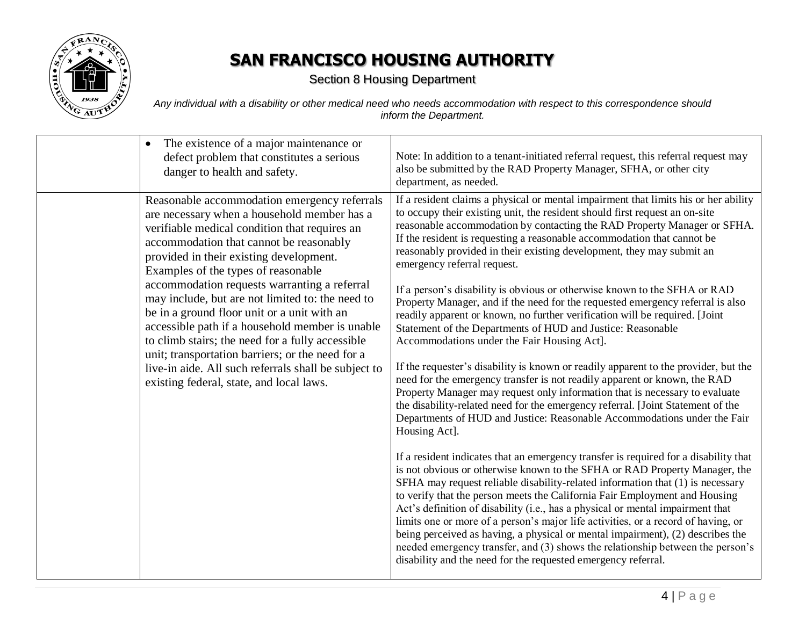

Section 8 Housing Department

*Any individual with a disability or other medical need who needs accommodation with respect to this correspondence should inform the Department.*

| The existence of a major maintenance or<br>$\bullet$<br>defect problem that constitutes a serious<br>danger to health and safety.                                                                                                                                                                                                                                                                                                                                                                                                                                                                                                                                                           | Note: In addition to a tenant-initiated referral request, this referral request may<br>also be submitted by the RAD Property Manager, SFHA, or other city<br>department, as needed.                                                                                                                                                                                                                                                                                                                                                                                                                                                                                                                                                                                                                                                                                                                                                                                                                                                                                                                                                                                                                                                                                                                                                                                                                                                                                                                                                                                                                                                                                                                                                                                                                                                                                                                                                                                                |
|---------------------------------------------------------------------------------------------------------------------------------------------------------------------------------------------------------------------------------------------------------------------------------------------------------------------------------------------------------------------------------------------------------------------------------------------------------------------------------------------------------------------------------------------------------------------------------------------------------------------------------------------------------------------------------------------|------------------------------------------------------------------------------------------------------------------------------------------------------------------------------------------------------------------------------------------------------------------------------------------------------------------------------------------------------------------------------------------------------------------------------------------------------------------------------------------------------------------------------------------------------------------------------------------------------------------------------------------------------------------------------------------------------------------------------------------------------------------------------------------------------------------------------------------------------------------------------------------------------------------------------------------------------------------------------------------------------------------------------------------------------------------------------------------------------------------------------------------------------------------------------------------------------------------------------------------------------------------------------------------------------------------------------------------------------------------------------------------------------------------------------------------------------------------------------------------------------------------------------------------------------------------------------------------------------------------------------------------------------------------------------------------------------------------------------------------------------------------------------------------------------------------------------------------------------------------------------------------------------------------------------------------------------------------------------------|
| Reasonable accommodation emergency referrals<br>are necessary when a household member has a<br>verifiable medical condition that requires an<br>accommodation that cannot be reasonably<br>provided in their existing development.<br>Examples of the types of reasonable<br>accommodation requests warranting a referral<br>may include, but are not limited to: the need to<br>be in a ground floor unit or a unit with an<br>accessible path if a household member is unable<br>to climb stairs; the need for a fully accessible<br>unit; transportation barriers; or the need for a<br>live-in aide. All such referrals shall be subject to<br>existing federal, state, and local laws. | If a resident claims a physical or mental impairment that limits his or her ability<br>to occupy their existing unit, the resident should first request an on-site<br>reasonable accommodation by contacting the RAD Property Manager or SFHA.<br>If the resident is requesting a reasonable accommodation that cannot be<br>reasonably provided in their existing development, they may submit an<br>emergency referral request.<br>If a person's disability is obvious or otherwise known to the SFHA or RAD<br>Property Manager, and if the need for the requested emergency referral is also<br>readily apparent or known, no further verification will be required. [Joint<br>Statement of the Departments of HUD and Justice: Reasonable<br>Accommodations under the Fair Housing Act].<br>If the requester's disability is known or readily apparent to the provider, but the<br>need for the emergency transfer is not readily apparent or known, the RAD<br>Property Manager may request only information that is necessary to evaluate<br>the disability-related need for the emergency referral. [Joint Statement of the<br>Departments of HUD and Justice: Reasonable Accommodations under the Fair<br>Housing Act].<br>If a resident indicates that an emergency transfer is required for a disability that<br>is not obvious or otherwise known to the SFHA or RAD Property Manager, the<br>SFHA may request reliable disability-related information that (1) is necessary<br>to verify that the person meets the California Fair Employment and Housing<br>Act's definition of disability (i.e., has a physical or mental impairment that<br>limits one or more of a person's major life activities, or a record of having, or<br>being perceived as having, a physical or mental impairment), (2) describes the<br>needed emergency transfer, and (3) shows the relationship between the person's<br>disability and the need for the requested emergency referral. |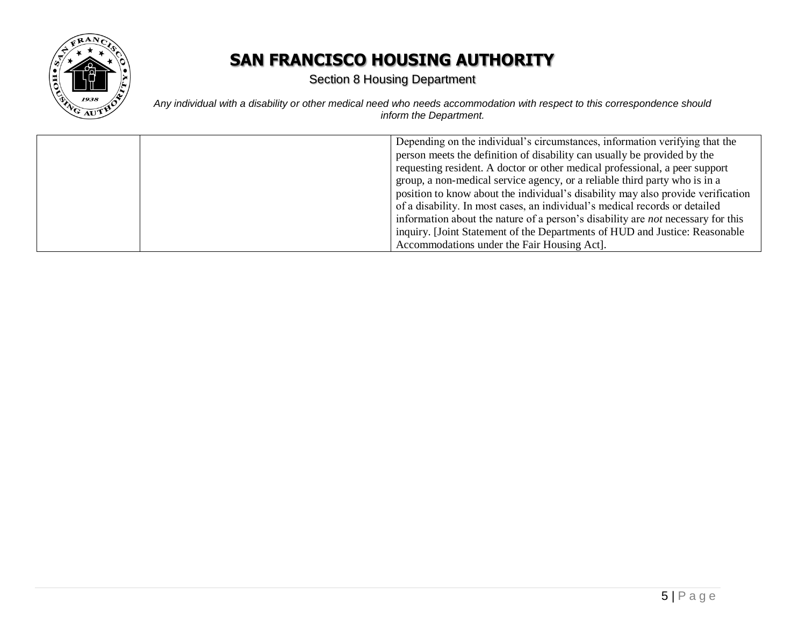

Section 8 Housing Department

*Any individual with a disability or other medical need who needs accommodation with respect to this correspondence should inform the Department.*

| Depending on the individual's circumstances, information verifying that the             |
|-----------------------------------------------------------------------------------------|
| person meets the definition of disability can usually be provided by the                |
| requesting resident. A doctor or other medical professional, a peer support             |
| group, a non-medical service agency, or a reliable third party who is in a              |
| position to know about the individual's disability may also provide verification        |
| of a disability. In most cases, an individual's medical records or detailed             |
| information about the nature of a person's disability are <i>not</i> necessary for this |
| inquiry. [Joint Statement of the Departments of HUD and Justice: Reasonable             |
| Accommodations under the Fair Housing Act].                                             |